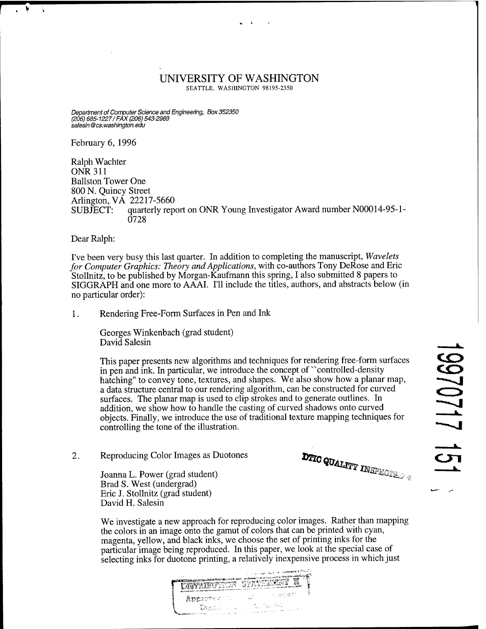## UNIVERSITY OF WASHINGTON

SEATTLE, WASHINGTON 98195-2350

*Department of ComputerScience and Engineering, Box 352350 (206) 685-1227/FAX (206) 543-2969 salesin @cs. Washington, edu*

February 6, 1996

Â

Ralph Wächter ONR311 Ballston Tower One 800 N. Quincy Street Arlington, VA 22217-5660 SUBJECT: quarterly report on ONR Young Investigator Award number N00014-95-1 - 0728

Dear Ralph:

I've been very busy this last quarter. In addition to completing the manuscript, *Wavelets for Computer Graphics: Theory and Applications,* with co-authors Tony DeRose and Eric Stollnitz, to be published by Morgan-Kaufmann this spring, I also submitted 8 papers to SIGGRAPH and one more to AAAI. I'll include the titles, authors, and abstracts below (in no particular order):

1. Rendering Free-Form Surfaces in Pen and Ink

Georges Winkenbach (grad student) David Salesin

This paper presents new algorithms and techniques for rendering free-form surfaces in pen and ink. In particular, we introduce the concept of "controlled-density" hatching" to convey tone, textures, and shapes. We also show how a planar map, a data structure central to our rendering algorithm, can be constructed for curved surfaces. The planar map is used to clip strokes and to generate outlines. In addition, we show how to handle the casting of curved shadows onto curved objects. Finally, we introduce the use of traditional texture mapping techniques for controlling the tone of the illustration.

2. Reproducing Color Images as Duotones **DTIC on Allance COM** 

Joanna L. Power (grad student) **Kit**X**XXXX<sup>INSPECT<sub>io</sub>**</sup> Brad S. West (undergrad) Eric J. Stollnitz (grad student) David H. Salesin

We investigate a new approach for reproducing color images. Rather than mapping the colors in an image onto the gamut of colors that can be printed with cyan, magenta, yellow, and black inks, we choose the set of printing inks for the particular image being reproduced. In this paper, we look at the special case of selecting inks for duotone printing, a relatively inexpensive process in which just

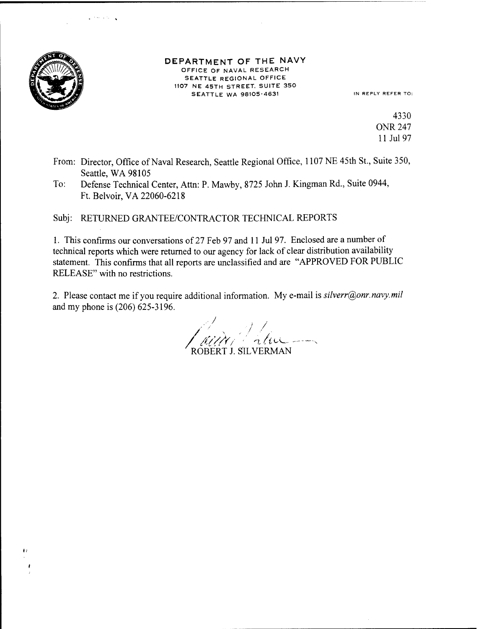

 $\mathbf{r}$ 

green and the

## DEPARTMENT OF THE NAVY OFFICE OF NAVAL RESEARCH SEATTLE REGIONAL OFFICE 1107 NE 45TH STREET. SUITE 350 SEATTLE WA 98105-4631 IN REPLY REFER TO:

4330 ONR 247 11 Jul 97

- From: Director, Office of Naval Research, Seattle Regional Office, 1107 NE 45th St., Suite 350, Seattle, WA 98105
- To: Defense Technical Center, Atta: P. Mawby, 8725 John J. Kingman Rd., Suite 0944, Ft. Belvoir,VA 22060-6218

Subj: RETURNED GRANTEE/CONTRACTOR TECHNICAL REPORTS

1. This confirms our conversations of 27 Feb 97 and <sup>11</sup> Jul 97. Enclosed are a number of technical reports which were returned to our agency for lack of clear distribution availability statement. This confirms that all reports are unclassified and are "APPROVED FOR PUBLIC RELEASE" with no restrictions.

2. Please contact me if you require additional information. My e-mail is *silverr@onr.navy.mil* and my phone is (206) 625-3196.

/ / / ROBERT J. SILVERMAN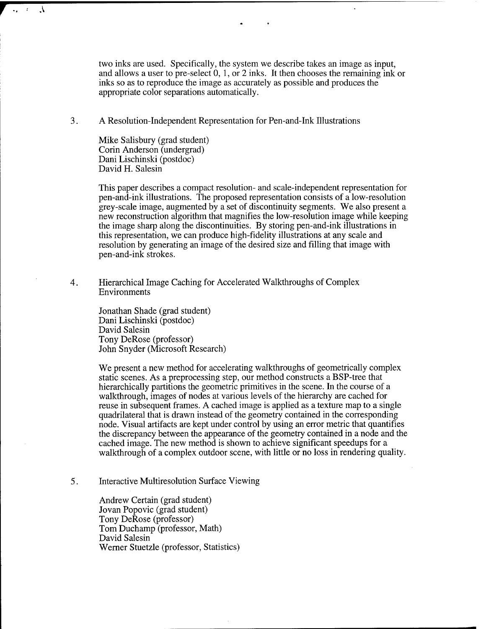two inks are used. Specifically, the system we describe takes an image as input, and allows a user to pre-select 0, 1, or 2 inks. It then chooses the remaining ink or inks so as to reproduce the image as accurately as possible and produces the appropriate color separations automatically.

3. A Resolution-Independent Representation for Pen-and-ink Illustrations

Mike Salisbury (grad student) Corin Anderson (undergrad) Dani Lischinski (postdoc) David H. Salesin

 $\Lambda$ 

 $\mathcal{L}_{\bullet} = \mathcal{L}$ 

This paper describes a compact resolution- and scale-independent representation for pen-and-ink illustrations. The proposed representation consists of a low-resolution grey-scale image, augmented by a set of discontinuity segments. We also present a new reconstruction algorithm that magnifies the low-resolution image while keeping the image sharp along the discontinuities. By storing pen-and-ink illustrations in this representation, we can produce high-fidelity illustrations at any scale and resolution by generating an image of the desired size and filling that image with pen-and-ink strokes.

4. Hierarchical Image Caching for Accelerated Walkthroughs of Complex Environments

> Jonathan Shade (grad student) Dani Lischinski (postdoc) David Salesin Tony DeRose (professor) John Snyder (Microsoft Research)

We present a new method for accelerating walkthroughs of geometrically complex static scenes. As a preprocessing step, our method constructs a BSP-tree that hierarchically partitions the geometric primitives in the scene. In the course of a walkthrough, images of nodes at various levels of the hierarchy are cached for reuse in subsequent frames. A cached image is applied as a texture map to a single quadrilateral that is drawn instead of the geometry contained in the corresponding node. Visual artifacts are kept under control by using an error metric that quantifies the discrepancy between the appearance of the geometry contained in a node and the cached image. The new method is shown to achieve significant speedups for a walkthrough of a complex outdoor scene, with little or no loss in rendering quality.

5. Interactive Multiresolution Surface Viewing

> Andrew Certain (grad student) Jovan Popovic (grad student) Tony DeRose (professor) Tom Duchamp (professor, Math) David Salesin Werner Stuetzle (professor, Statistics)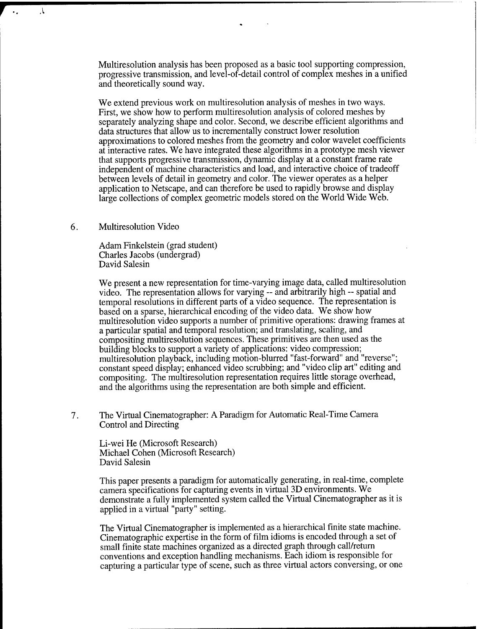Multiresolution analysis has been proposed as a basic tool supporting compression, progressive transmission, and level-of-detail control of complex meshes in a unified and theoretically sound way.

We extend previous work on multiresolution analysis of meshes in two ways. First, we show how to perform multiresolution analysis of colored meshes by separately analyzing shape and color. Second, we describe efficient algorithms and data structures that allow us to incrementally construct lower resolution approximations to colored meshes from the geometry and color wavelet coefficients at interactive rates. We have integrated these algorithms in a prototype mesh viewer that supports progressive transmission, dynamic display at a constant frame rate independent of machine characteristics and load, and interactive choice of tradeoff between levels of detail in geometry and color. The viewer operates as a helper application to Netscape, and can therefore be used to rapidly browse and display large collections of complex geometric models stored on the World Wide Web.

## 6. Multiresolution Video

**r** <sup>A</sup>

Adam Finkelstein (grad student) Charles Jacobs (undergrad) David Salesin

We present a new representation for time-varying image data, called multiresolution video. The representation allows for varying - and arbitrarily high -- spatial and temporal resolutions in different parts of a video sequence. The representation is based on a sparse, hierarchical encoding of the video data. We show how multiresolution video supports a number of primitive operations: drawing frames at a particular spatial and temporal resolution; and translating, scaling, and compositing multiresolution sequences. These primitives are then used as the building blocks to support a variety of applications: video compression; multiresolution playback, including motion-blurred "fast-forward" and "reverse"; constant speed display; enhanced video scrubbing; and "video clip art" editing and compositing. The multiresolution representation requires little storage overhead, and the algorithms using the representation are both simple and efficient.

7. The Virtual Cinematographer: A Paradigm for Automatic Real-Time Camera Control and Directing

Li-wei He (Microsoft Research) Michael Cohen (Microsoft Research) David Salesin

This paper presents a paradigm for automatically generating, in real-time, complete camera specifications for capturing events in virtual 3D environments. We demonstrate a fully implemented system called the Virtual Cinematographer as it is applied in a virtual "party" setting.

The Virtual Cinematographer is implemented as a hierarchical finite state machine. Cinematographic expertise in the form of film idioms is encoded through a set of small finite state machines organized as a directed graph through call/return conventions and exception handling mechanisms. Each idiom is responsible for capturing a particular type of scene, such as three virtual actors conversing, or one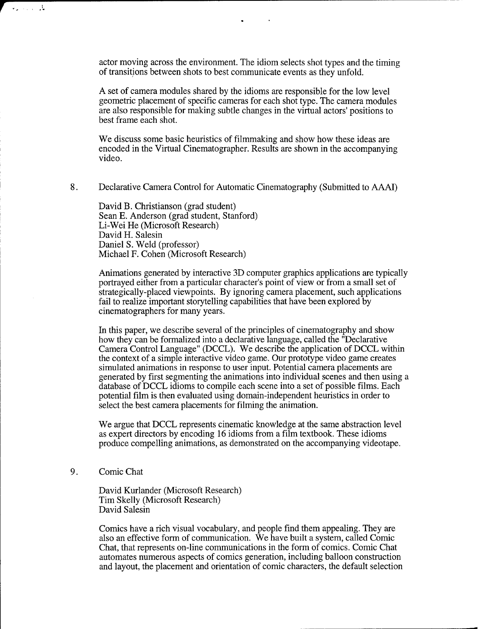actor moving across the environment. The idiom selects shot types and the timing of transitions between shots to best communicate events as they unfold.

A set of camera modules shared by the idioms are responsible for the low level geometric placement of specific cameras for each shot type. The camera modules are also responsible for making subtle changes in the virtual actors' positions to best frame each shot.

We discuss some basic heuristics of filmmaking and show how these ideas are encoded in the Virtual Cinematographer. Results are shown in the accompanying video.

8. Declarative Camera Control for Automatic Cinematography (Submitted to AAAI)

David B. Christianson (grad student) Sean E. Anderson (grad student, Stanford) Li-Wei He (Microsoft Research) David H. Salesin Daniel S. Weld (professor) Michael F. Cohen (Microsoft Research)

Animations generated by interactive 3D computer graphics applications are typically portrayed either from a particular character's point of view or from a small set of strategically-placed viewpoints. By ignoring camera placement, such applications fail to realize important storytelling capabilities that have been explored by cinematographers for many years.

In this paper, we describe several of the principles of cinematography and show how they can be formalized into a declarative language, called the "Declarative Camera Control Language" (DCCL). We describe the application of DCCL within the context of a simple interactive video game. Our prototype video game creates simulated animations in response to user input. Potential camera placements are generated by first segmenting the animations into individual scenes and then using a database of DCCL idioms to compile each scene into a set of possible films. Each potential film is then evaluated using domain-independent heuristics in order to select the best camera placements for filming the animation.

We argue that DCCL represents cinematic knowledge at the same abstraction level as expert directors by encoding 16 idioms from a film textbook. These idioms produce compelling animations, as demonstrated on the accompanying videotape.

9. Comic Chat

**r**

بار با دارند

David Kurlander (Microsoft Research) Tim Skelly (Microsoft Research) David Salesin

Comics have a rich visual vocabulary, and people find them appealing. They are also an effective form of communication. We have built a system, called Comic Chat, that represents on-line communications in the form of comics. Comic Chat automates numerous aspects of comics generation, including balloon construction and layout, the placement and orientation of comic characters, the default selection